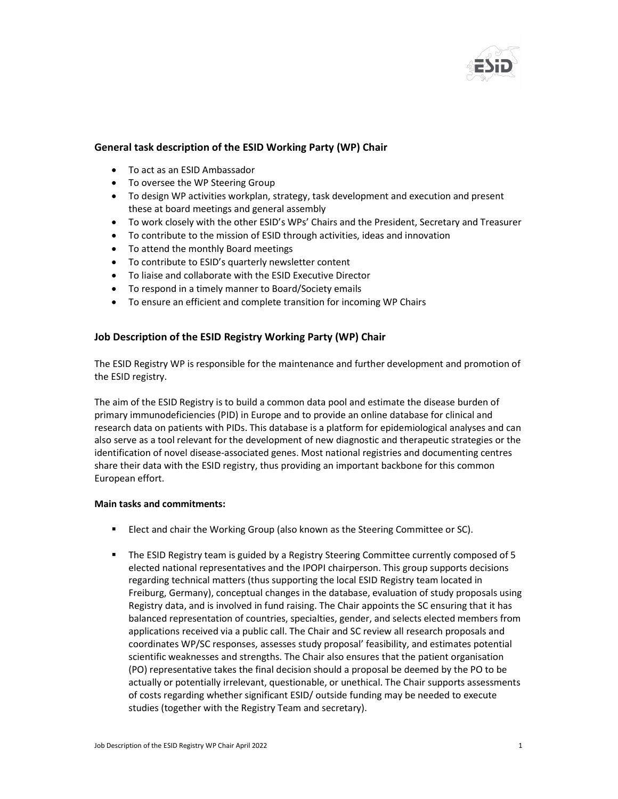

## General task description of the ESID Working Party (WP) Chair

- To act as an ESID Ambassador
- To oversee the WP Steering Group
- To design WP activities workplan, strategy, task development and execution and present these at board meetings and general assembly
- To work closely with the other ESID's WPs' Chairs and the President, Secretary and Treasurer
- To contribute to the mission of ESID through activities, ideas and innovation
- To attend the monthly Board meetings
- To contribute to ESID's quarterly newsletter content
- To liaise and collaborate with the ESID Executive Director
- To respond in a timely manner to Board/Society emails
- To ensure an efficient and complete transition for incoming WP Chairs

## Job Description of the ESID Registry Working Party (WP) Chair

The ESID Registry WP is responsible for the maintenance and further development and promotion of the ESID registry.

The aim of the ESID Registry is to build a common data pool and estimate the disease burden of primary immunodeficiencies (PID) in Europe and to provide an online database for clinical and research data on patients with PIDs. This database is a platform for epidemiological analyses and can also serve as a tool relevant for the development of new diagnostic and therapeutic strategies or the identification of novel disease-associated genes. Most national registries and documenting centres share their data with the ESID registry, thus providing an important backbone for this common European effort.

## Main tasks and commitments:

- Elect and chair the Working Group (also known as the Steering Committee or SC).
- The ESID Registry team is guided by a Registry Steering Committee currently composed of 5 elected national representatives and the IPOPI chairperson. This group supports decisions regarding technical matters (thus supporting the local ESID Registry team located in Freiburg, Germany), conceptual changes in the database, evaluation of study proposals using Registry data, and is involved in fund raising. The Chair appoints the SC ensuring that it has balanced representation of countries, specialties, gender, and selects elected members from applications received via a public call. The Chair and SC review all research proposals and coordinates WP/SC responses, assesses study proposal' feasibility, and estimates potential scientific weaknesses and strengths. The Chair also ensures that the patient organisation (PO) representative takes the final decision should a proposal be deemed by the PO to be actually or potentially irrelevant, questionable, or unethical. The Chair supports assessments of costs regarding whether significant ESID/ outside funding may be needed to execute studies (together with the Registry Team and secretary).